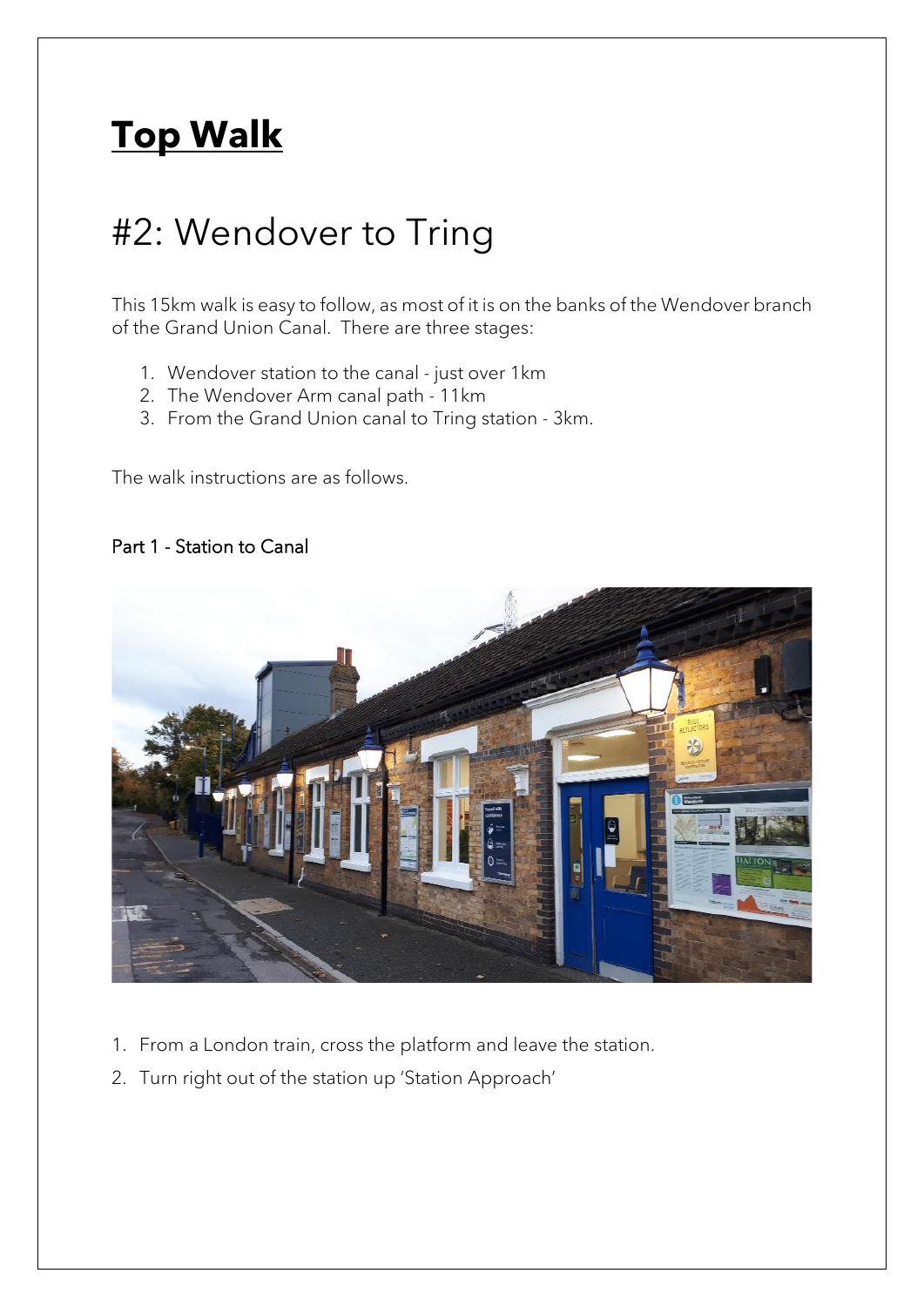# **Top Walk**

## #2: Wendover to Tring

This 15km walk is easy to follow, as most of it is on the banks of the Wendover branch of the Grand Union Canal. There are three stages:

- 1. Wendover station to the canal just over 1km
- 2. The Wendover Arm canal path 11km
- 3. From the Grand Union canal to Tring station 3km.

The walk instructions are as follows.

#### Part 1 - Station to Canal



- 1. From a London train, cross the platform and leave the station.
- 2. Turn right out of the station up 'Station Approach'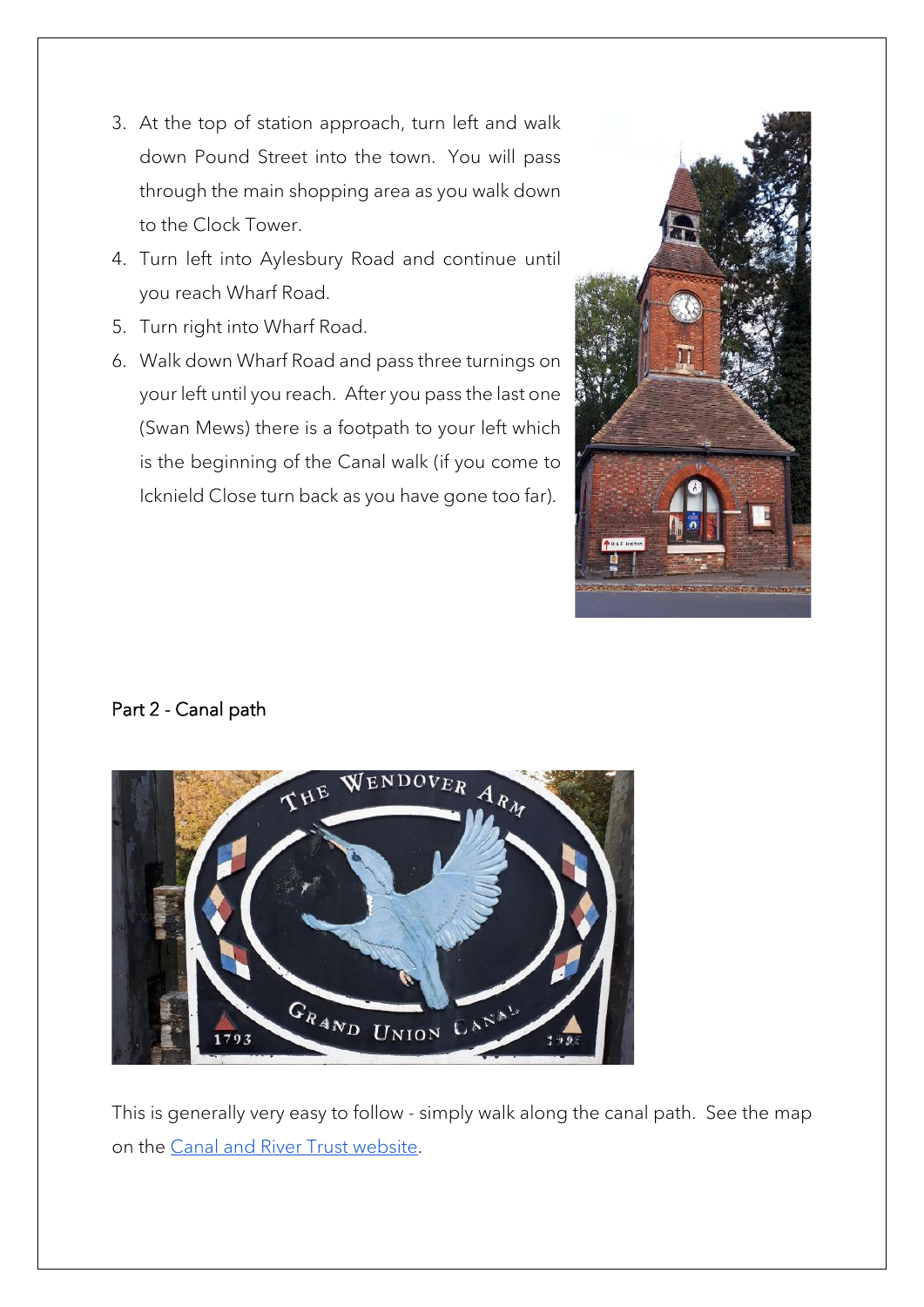- 3. At the top of station approach, turn left and walk down Pound Street into the town. You will pass through the main shopping area as you walk down to the Clock Tower.
- 4. Turn left into Aylesbury Road and continue until you reach Wharf Road.
- 5. Turn right into Wharf Road.
- 6. Walk down Wharf Road and pass three turnings on your left until you reach. After you pass the last one (Swan Mews) there is a footpath to your left which is the beginning of the Canal walk (if you come to Icknield Close turn back as you have gone too far).



#### Part 2 - Canal path



This is generally very easy to follow - simply walk along the canal path. See the map on the [Canal and River Trust website.](https://canalrivertrust.org.uk/enjoy-the-waterways/canal-and-river-network/wendover-arm-grand-union-canal)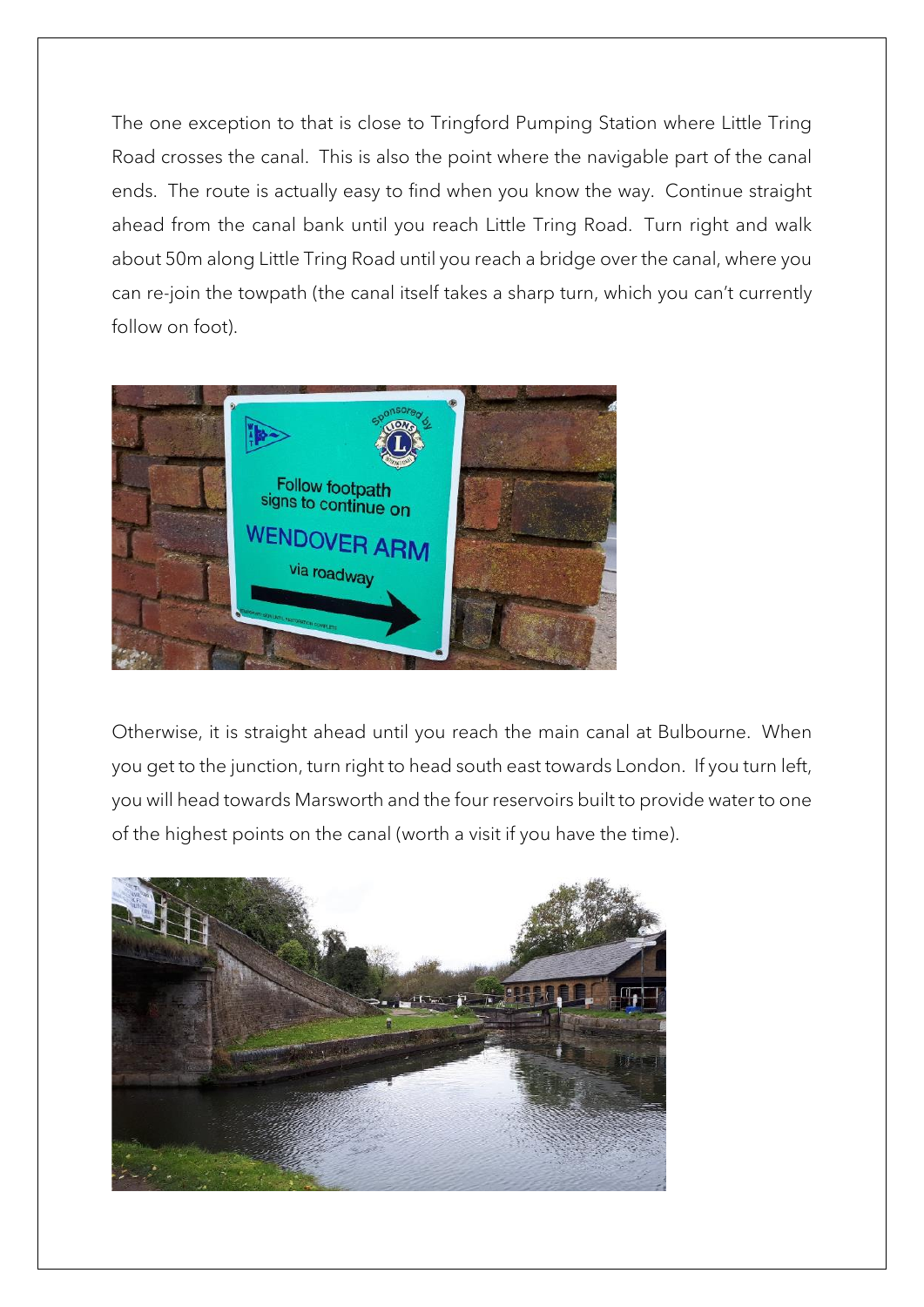The one exception to that is close to Tringford Pumping Station where Little Tring Road crosses the canal. This is also the point where the navigable part of the canal ends. The route is actually easy to find when you know the way. Continue straight ahead from the canal bank until you reach Little Tring Road. Turn right and walk about 50m along Little Tring Road until you reach a bridge over the canal, where you can re-join the towpath (the canal itself takes a sharp turn, which you can't currently follow on foot).



Otherwise, it is straight ahead until you reach the main canal at Bulbourne. When you get to the junction, turn right to head south east towards London. If you turn left, you will head towards Marsworth and the four reservoirs built to provide water to one of the highest points on the canal (worth a visit if you have the time).